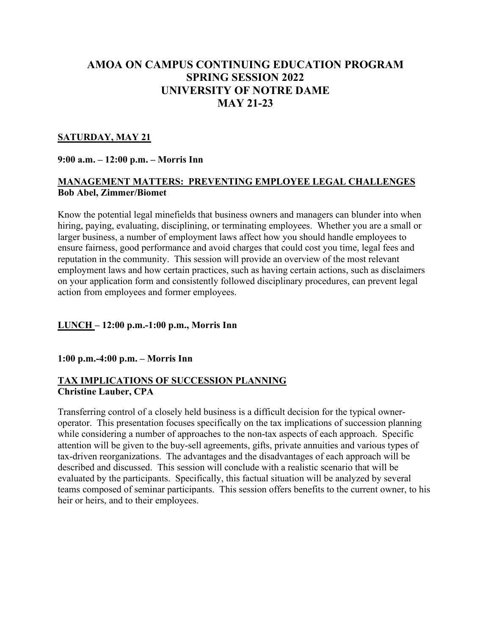# **AMOA ON CAMPUS CONTINUING EDUCATION PROGRAM SPRING SESSION 2022 UNIVERSITY OF NOTRE DAME MAY 21-23**

#### **SATURDAY, MAY 21**

### **9:00 a.m. – 12:00 p.m. – Morris Inn**

### **MANAGEMENT MATTERS: PREVENTING EMPLOYEE LEGAL CHALLENGES Bob Abel, Zimmer/Biomet**

Know the potential legal minefields that business owners and managers can blunder into when hiring, paying, evaluating, disciplining, or terminating employees. Whether you are a small or larger business, a number of employment laws affect how you should handle employees to ensure fairness, good performance and avoid charges that could cost you time, legal fees and reputation in the community. This session will provide an overview of the most relevant employment laws and how certain practices, such as having certain actions, such as disclaimers on your application form and consistently followed disciplinary procedures, can prevent legal action from employees and former employees.

## **LUNCH – 12:00 p.m.-1:00 p.m., Morris Inn**

#### **1:00 p.m.-4:00 p.m. – Morris Inn**

#### **TAX IMPLICATIONS OF SUCCESSION PLANNING Christine Lauber, CPA**

Transferring control of a closely held business is a difficult decision for the typical owneroperator. This presentation focuses specifically on the tax implications of succession planning while considering a number of approaches to the non-tax aspects of each approach. Specific attention will be given to the buy-sell agreements, gifts, private annuities and various types of tax-driven reorganizations. The advantages and the disadvantages of each approach will be described and discussed. This session will conclude with a realistic scenario that will be evaluated by the participants. Specifically, this factual situation will be analyzed by several teams composed of seminar participants. This session offers benefits to the current owner, to his heir or heirs, and to their employees.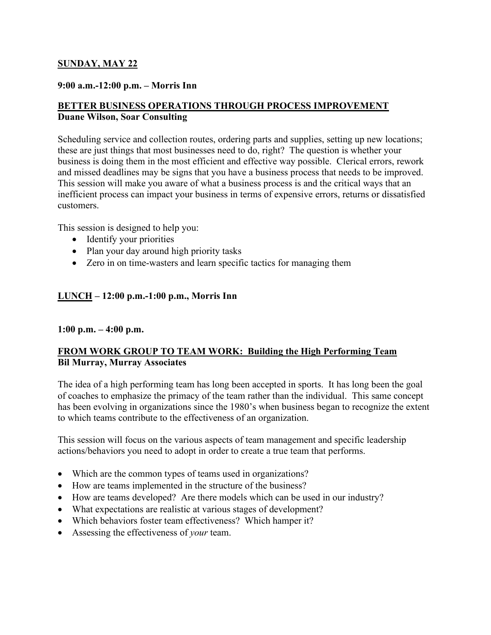### **SUNDAY, MAY 22**

#### **9:00 a.m.-12:00 p.m. – Morris Inn**

## **BETTER BUSINESS OPERATIONS THROUGH PROCESS IMPROVEMENT Duane Wilson, Soar Consulting**

Scheduling service and collection routes, ordering parts and supplies, setting up new locations; these are just things that most businesses need to do, right? The question is whether your business is doing them in the most efficient and effective way possible. Clerical errors, rework and missed deadlines may be signs that you have a business process that needs to be improved. This session will make you aware of what a business process is and the critical ways that an inefficient process can impact your business in terms of expensive errors, returns or dissatisfied customers.

This session is designed to help you:

- Identify your priorities
- Plan your day around high priority tasks
- Zero in on time-wasters and learn specific tactics for managing them

#### **LUNCH – 12:00 p.m.-1:00 p.m., Morris Inn**

#### **1:00 p.m. – 4:00 p.m.**

#### **FROM WORK GROUP TO TEAM WORK: Building the High Performing Team Bil Murray, Murray Associates**

The idea of a high performing team has long been accepted in sports. It has long been the goal of coaches to emphasize the primacy of the team rather than the individual. This same concept has been evolving in organizations since the 1980's when business began to recognize the extent to which teams contribute to the effectiveness of an organization.

This session will focus on the various aspects of team management and specific leadership actions/behaviors you need to adopt in order to create a true team that performs.

- Which are the common types of teams used in organizations?
- How are teams implemented in the structure of the business?
- How are teams developed? Are there models which can be used in our industry?
- What expectations are realistic at various stages of development?
- Which behaviors foster team effectiveness? Which hamper it?
- Assessing the effectiveness of *your* team.